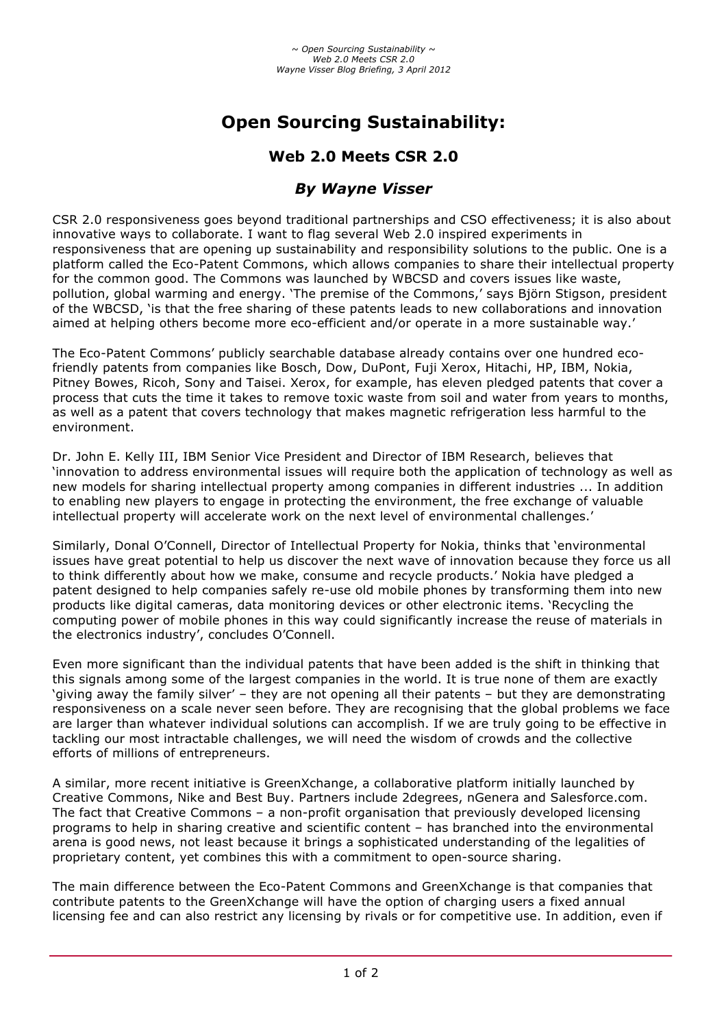# **Open Sourcing Sustainability:**

## **Web 2.0 Meets CSR 2.0**

### *By Wayne Visser*

CSR 2.0 responsiveness goes beyond traditional partnerships and CSO effectiveness; it is also about innovative ways to collaborate. I want to flag several Web 2.0 inspired experiments in responsiveness that are opening up sustainability and responsibility solutions to the public. One is a platform called the Eco-Patent Commons, which allows companies to share their intellectual property for the common good. The Commons was launched by WBCSD and covers issues like waste, pollution, global warming and energy. 'The premise of the Commons,' says Björn Stigson, president of the WBCSD, 'is that the free sharing of these patents leads to new collaborations and innovation aimed at helping others become more eco-efficient and/or operate in a more sustainable way.'

The Eco-Patent Commons' publicly searchable database already contains over one hundred ecofriendly patents from companies like Bosch, Dow, DuPont, Fuji Xerox, Hitachi, HP, IBM, Nokia, Pitney Bowes, Ricoh, Sony and Taisei. Xerox, for example, has eleven pledged patents that cover a process that cuts the time it takes to remove toxic waste from soil and water from years to months, as well as a patent that covers technology that makes magnetic refrigeration less harmful to the environment.

Dr. John E. Kelly III, IBM Senior Vice President and Director of IBM Research, believes that 'innovation to address environmental issues will require both the application of technology as well as new models for sharing intellectual property among companies in different industries ... In addition to enabling new players to engage in protecting the environment, the free exchange of valuable intellectual property will accelerate work on the next level of environmental challenges.'

Similarly, Donal O'Connell, Director of Intellectual Property for Nokia, thinks that 'environmental issues have great potential to help us discover the next wave of innovation because they force us all to think differently about how we make, consume and recycle products.' Nokia have pledged a patent designed to help companies safely re-use old mobile phones by transforming them into new products like digital cameras, data monitoring devices or other electronic items. 'Recycling the computing power of mobile phones in this way could significantly increase the reuse of materials in the electronics industry', concludes O'Connell.

Even more significant than the individual patents that have been added is the shift in thinking that this signals among some of the largest companies in the world. It is true none of them are exactly 'giving away the family silver' – they are not opening all their patents – but they are demonstrating responsiveness on a scale never seen before. They are recognising that the global problems we face are larger than whatever individual solutions can accomplish. If we are truly going to be effective in tackling our most intractable challenges, we will need the wisdom of crowds and the collective efforts of millions of entrepreneurs.

A similar, more recent initiative is GreenXchange, a collaborative platform initially launched by Creative Commons, Nike and Best Buy. Partners include 2degrees, nGenera and Salesforce.com. The fact that Creative Commons – a non-profit organisation that previously developed licensing programs to help in sharing creative and scientific content – has branched into the environmental arena is good news, not least because it brings a sophisticated understanding of the legalities of proprietary content, yet combines this with a commitment to open-source sharing.

The main difference between the Eco-Patent Commons and GreenXchange is that companies that contribute patents to the GreenXchange will have the option of charging users a fixed annual licensing fee and can also restrict any licensing by rivals or for competitive use. In addition, even if